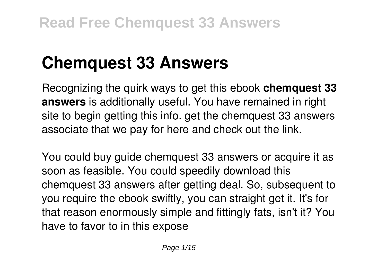# **Chemquest 33 Answers**

Recognizing the quirk ways to get this ebook **chemquest 33 answers** is additionally useful. You have remained in right site to begin getting this info. get the chemquest 33 answers associate that we pay for here and check out the link.

You could buy guide chemquest 33 answers or acquire it as soon as feasible. You could speedily download this chemquest 33 answers after getting deal. So, subsequent to you require the ebook swiftly, you can straight get it. It's for that reason enormously simple and fittingly fats, isn't it? You have to favor to in this expose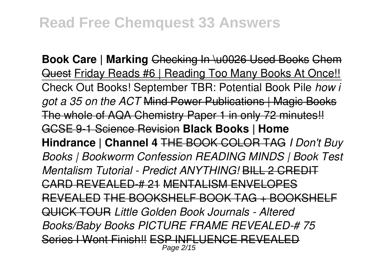**Book Care | Marking** Checking In \u0026 Used Books Chem Quest Friday Reads #6 | Reading Too Many Books At Once!! Check Out Books! September TBR: Potential Book Pile *how i got a 35 on the ACT* Mind Power Publications | Magic Books The whole of AQA Chemistry Paper 1 in only 72 minutes!! GCSE 9-1 Science Revision **Black Books | Home Hindrance | Channel 4** THE BOOK COLOR TAG *I Don't Buy Books | Bookworm Confession READING MINDS | Book Test Mentalism Tutorial - Predict ANYTHING!* BILL 2 CREDIT CARD REVEALED-# 21 MENTALISM ENVELOPES REVEALED THE BOOKSHELF BOOK TAG + BOOKSHELF QUICK TOUR *Little Golden Book Journals - Altered Books/Baby Books PICTURE FRAME REVEALED-# 75* Series I Wont Finish!! ESP INFLUENCE REVEALED Page 2/15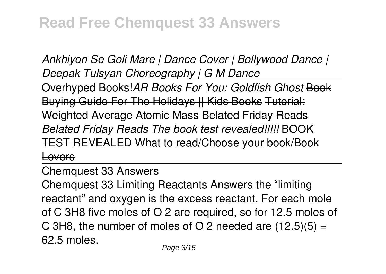*Ankhiyon Se Goli Mare | Dance Cover | Bollywood Dance | Deepak Tulsyan Choreography | G M Dance*

Overhyped Books!*AR Books For You: Goldfish Ghost* Book Buying Guide For The Holidays || Kids Books Tutorial: Weighted Average Atomic Mass Belated Friday Reads *Belated Friday Reads The book test revealed!!!!!* BOOK TEST REVEALED What to read/Choose your book/Book Lovers

Chemquest 33 Answers

Chemquest 33 Limiting Reactants Answers the "limiting reactant" and oxygen is the excess reactant. For each mole of C 3H8 five moles of O 2 are required, so for 12.5 moles of C 3H8, the number of moles of O 2 needed are  $(12.5)(5) =$ 62.5 moles.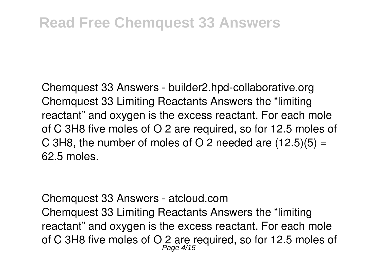Chemquest 33 Answers - builder2.hpd-collaborative.org Chemquest 33 Limiting Reactants Answers the "limiting reactant" and oxygen is the excess reactant. For each mole of C 3H8 five moles of O 2 are required, so for 12.5 moles of C 3H8, the number of moles of O 2 needed are  $(12.5)(5) =$ 62.5 moles.

Chemquest 33 Answers - atcloud.com Chemquest 33 Limiting Reactants Answers the "limiting reactant" and oxygen is the excess reactant. For each mole of C 3H8 five moles of O 2 are required, so for 12.5 moles of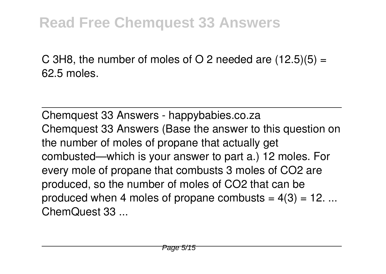C 3H8, the number of moles of O 2 needed are  $(12.5)(5) =$ 62.5 moles.

Chemquest 33 Answers - happybabies.co.za Chemquest 33 Answers (Base the answer to this question on the number of moles of propane that actually get combusted—which is your answer to part a.) 12 moles. For every mole of propane that combusts 3 moles of CO2 are produced, so the number of moles of CO2 that can be produced when 4 moles of propane combusts =  $4(3)$  = 12. ... ChemQuest 33 ...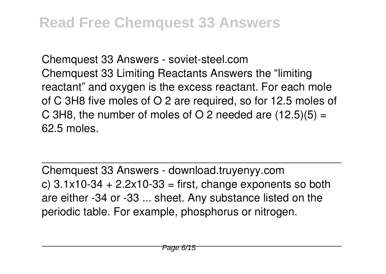Chemquest 33 Answers - soviet-steel.com Chemquest 33 Limiting Reactants Answers the "limiting reactant" and oxygen is the excess reactant. For each mole of C 3H8 five moles of O 2 are required, so for 12.5 moles of C 3H8, the number of moles of O 2 needed are  $(12.5)(5) =$ 62.5 moles.

Chemquest 33 Answers - download.truyenyy.com c)  $3.1x10-34 + 2.2x10-33 =$  first, change exponents so both are either -34 or -33 ... sheet. Any substance listed on the periodic table. For example, phosphorus or nitrogen.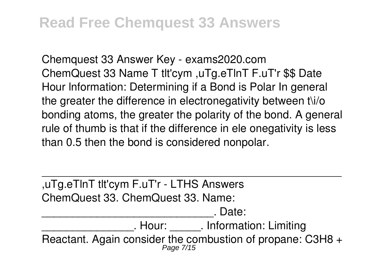Chemquest 33 Answer Key - exams2020.com ChemQuest 33 Name T tlt'cym ,uTg.eTlnT F.uT'r \$\$ Date Hour lnformation: Determining if a Bond is Polar In general the greater the difference in electronegativity between t\i/o bonding atoms, the greater the polarity of the bond. A general rule of thumb is that if the difference in ele onegativity is less than 0.5 then the bond is considered nonpolar.

| , uTg.eTInT tit'cym F.uT'r - LTHS Answers                  |
|------------------------------------------------------------|
| ChemQuest 33. ChemQuest 33. Name:                          |
| . Date:                                                    |
| . Hour: . Information: Limiting                            |
| Reactant. Again consider the combustion of propane: C3H8 + |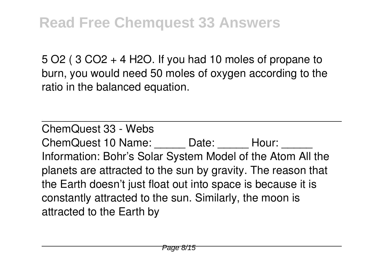5 O2 ( 3 CO2 + 4 H2O. If you had 10 moles of propane to burn, you would need 50 moles of oxygen according to the ratio in the balanced equation.

ChemQuest 33 - Webs ChemQuest 10 Name: Date: Hour: Information: Bohr's Solar System Model of the Atom All the planets are attracted to the sun by gravity. The reason that the Earth doesn't just float out into space is because it is constantly attracted to the sun. Similarly, the moon is attracted to the Earth by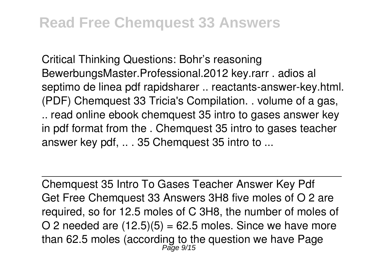Critical Thinking Questions: Bohr's reasoning BewerbungsMaster.Professional.2012 key.rarr . adios al septimo de linea pdf rapidsharer .. reactants-answer-key.html. (PDF) Chemquest 33 Tricia's Compilation. . volume of a gas, .. read online ebook chemquest 35 intro to gases answer key in pdf format from the . Chemquest 35 intro to gases teacher answer key pdf, .. . 35 Chemquest 35 intro to ...

Chemquest 35 Intro To Gases Teacher Answer Key Pdf Get Free Chemquest 33 Answers 3H8 five moles of O 2 are required, so for 12.5 moles of C 3H8, the number of moles of O 2 needed are  $(12.5)(5) = 62.5$  moles. Since we have more than 62.5 moles (according to the question we have Page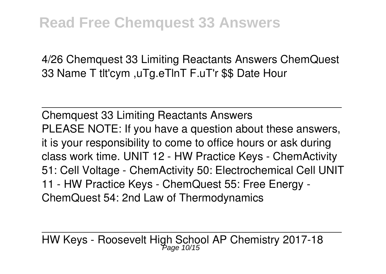4/26 Chemquest 33 Limiting Reactants Answers ChemQuest 33 Name T tlt'cym ,uTg.eTlnT F.uT'r \$\$ Date Hour

Chemquest 33 Limiting Reactants Answers PLEASE NOTE: If you have a question about these answers, it is your responsibility to come to office hours or ask during class work time. UNIT 12 - HW Practice Keys - ChemActivity 51: Cell Voltage - ChemActivity 50: Electrochemical Cell UNIT 11 - HW Practice Keys - ChemQuest 55: Free Energy - ChemQuest 54: 2nd Law of Thermodynamics

HW Keys - Roosevelt High School AP Chemistry 2017-18 Page 10/15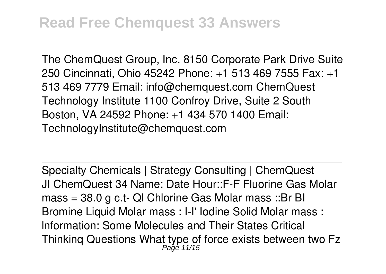The ChemQuest Group, Inc. 8150 Corporate Park Drive Suite 250 Cincinnati, Ohio 45242 Phone: +1 513 469 7555 Fax: +1 513 469 7779 Email: info@chemquest.com ChemQuest Technology Institute 1100 Confroy Drive, Suite 2 South Boston, VA 24592 Phone: +1 434 570 1400 Email: TechnologyInstitute@chemquest.com

Specialty Chemicals | Strategy Consulting | ChemQuest JI ChemQuest 34 Name: Date Hour::F-F Fluorine Gas Molar mass = 38.0 g c.t- Ql Chlorine Gas Molar mass ::Br BI Bromine Liquid Molar mass : I-I' Iodine Solid Molar mass : lnformation: Some Molecules and Their States Critical Thinkinq Questions What type of force exists between two Fz Page 11/15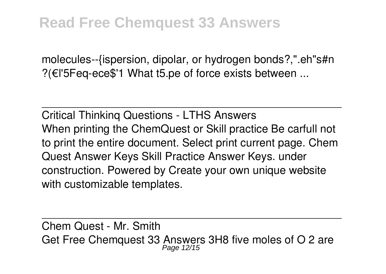molecules--{ispersion, dipolar, or hydrogen bonds?,".eh"s#n ?(€l'5Feq-ece\$'1 What t5.pe of force exists between ...

Critical Thinkinq Questions - LTHS Answers When printing the ChemQuest or Skill practice Be carfull not to print the entire document. Select print current page. Chem Quest Answer Keys Skill Practice Answer Keys. under construction. Powered by Create your own unique website with customizable templates.

Chem Quest - Mr. Smith Get Free Chemquest 33 Answers 3H8 five moles of O 2 are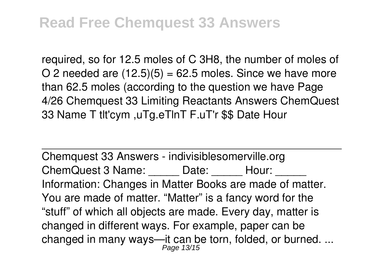required, so for 12.5 moles of C 3H8, the number of moles of O 2 needed are  $(12.5)(5) = 62.5$  moles. Since we have more than 62.5 moles (according to the question we have Page 4/26 Chemquest 33 Limiting Reactants Answers ChemQuest 33 Name T tlt'cym ,uTg.eTlnT F.uT'r \$\$ Date Hour

Chemquest 33 Answers - indivisiblesomerville.org ChemQuest 3 Name: Date: Hour: Information: Changes in Matter Books are made of matter. You are made of matter. "Matter" is a fancy word for the "stuff" of which all objects are made. Every day, matter is changed in different ways. For example, paper can be changed in many ways—it can be torn, folded, or burned. ... Page 13/15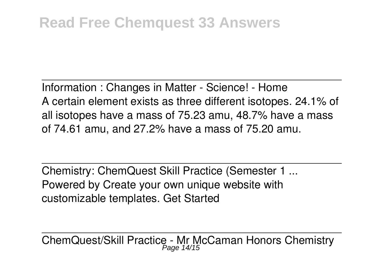Information : Changes in Matter - Science! - Home A certain element exists as three different isotopes. 24.1% of all isotopes have a mass of 75.23 amu, 48.7% have a mass of 74.61 amu, and 27.2% have a mass of 75.20 amu.

Chemistry: ChemQuest Skill Practice (Semester 1 ... Powered by Create your own unique website with customizable templates. Get Started

ChemQuest/Skill Practice - Mr McCaman Honors Chemistry